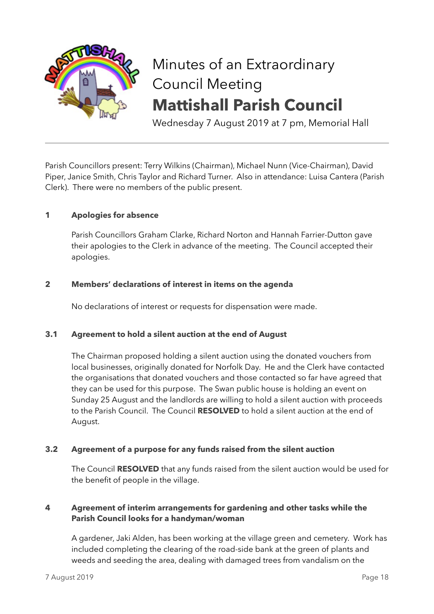

# Minutes of an Extraordinary Council Meeting **Mattishall Parish Council**

Wednesday 7 August 2019 at 7 pm, Memorial Hall

Parish Councillors present: Terry Wilkins (Chairman), Michael Nunn (Vice-Chairman), David Piper, Janice Smith, Chris Taylor and Richard Turner. Also in attendance: Luisa Cantera (Parish Clerk). There were no members of the public present.

# **1 Apologies for absence**

Parish Councillors Graham Clarke, Richard Norton and Hannah Farrier-Dutton gave their apologies to the Clerk in advance of the meeting. The Council accepted their apologies.

### **2 Members' declarations of interest in items on the agenda**

No declarations of interest or requests for dispensation were made.

### **3.1 Agreement to hold a silent auction at the end of August**

The Chairman proposed holding a silent auction using the donated vouchers from local businesses, originally donated for Norfolk Day. He and the Clerk have contacted the organisations that donated vouchers and those contacted so far have agreed that they can be used for this purpose. The Swan public house is holding an event on Sunday 25 August and the landlords are willing to hold a silent auction with proceeds to the Parish Council. The Council **RESOLVED** to hold a silent auction at the end of August.

### **3.2 Agreement of a purpose for any funds raised from the silent auction**

The Council **RESOLVED** that any funds raised from the silent auction would be used for the benefit of people in the village.

# **4 Agreement of interim arrangements for gardening and other tasks while the Parish Council looks for a handyman/woman**

A gardener, Jaki Alden, has been working at the village green and cemetery. Work has included completing the clearing of the road-side bank at the green of plants and weeds and seeding the area, dealing with damaged trees from vandalism on the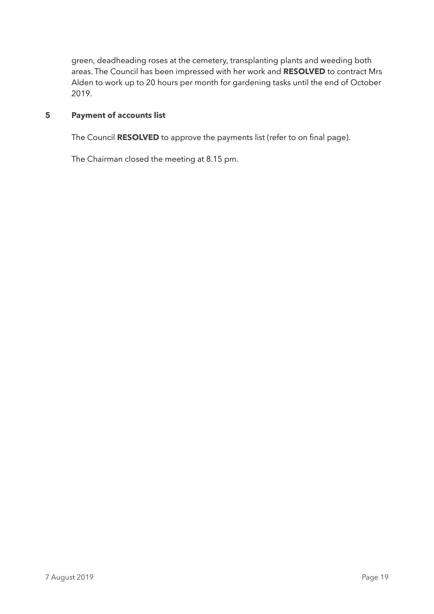green, deadheading roses at the cemetery, transplanting plants and weeding both areas. The Council has been impressed with her work and **RESOLVED** to contract Mrs Alden to work up to 20 hours per month for gardening tasks until the end of October 2019.

# **5 Payment of accounts list**

The Council **RESOLVED** to approve the payments list (refer to on final page).

The Chairman closed the meeting at 8.15 pm.